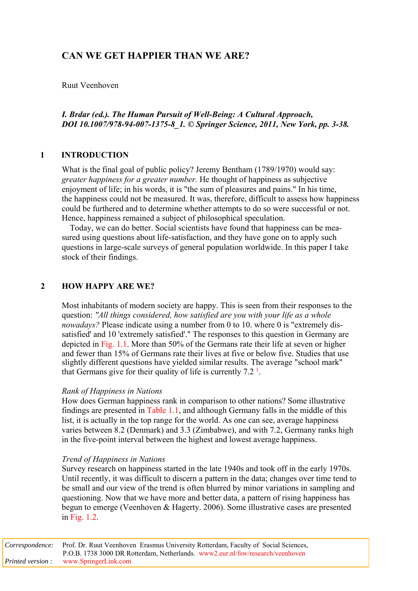# **CAN WE GET HAPPIER THAN WE ARE?**

Ruut Veenhoven

*I. Brdar (ed.). The Human Pursuit of Well-Being: A Cultural Approach, DOI 10.1007/978-94-007-1375-8\_1. © Springer Science, 2011, New York, pp. 3-38.* 

### **1 INTRODUCTION**

What is the final goal of public policy? Jeremy Bentham (1789/1970) would say: *greater happiness for a greater number.* He thought of happiness as subjective enjoyment of life; in his words, it is "the sum of pleasures and pains." In his time, the happiness could not be measured. It was, therefore, difficult to assess how happiness could be furthered and to determine whether attempts to do so were successful or not. Hence, happiness remained a subject of philosophical speculation.

Today, we can do better. Social scientists have found that happiness can be measured using questions about life-satisfaction, and they have gone on to apply such questions in large-scale surveys of general population worldwide. In this paper I take stock of their findings.

# **2 HOW HAPPY ARE WE?**

Most inhabitants of modern society are happy. This is seen from their responses to the question: *"All things considered, how satisfied are you with your life as a whole nowadays?* Please indicate using a number from 0 to 10. where 0 is "extremely dissatisfied' and 10 'extremely satisfied'." The responses to this question in Germany are depicted in [Fig. 1.1.](#page-9-0) More than 50% of the Germans rate their life at seven or higher and fewer than 15% of Germans rate their lives at five or below five. Studies that use slightly different questions have yielded similar results. The average "school mark" that Germans give for their quality of life is currently  $7.2<sup>1</sup>$ .

### *Rank of Happiness in Nations*

How does German happiness rank in comparison to other nations? Some illustrative findings are presented in [Table 1.1,](#page-10-0) and although Germany falls in the middle of this list, it is actually in the top range for the world. As one can see, average happiness varies between 8.2 (Denmark) and 3.3 (Zimbabwe), and with 7.2, Germany ranks high in the five-point interval between the highest and lowest average happiness.

### *Trend of Happiness in Nations*

Survey research on happiness started in the late 1940s and took off in the early 1970s. Until recently, it was difficult to discern a pattern in the data; changes over time tend to be small and our view of the trend is often blurred by minor variations in sampling and questioning. Now that we have more and better data, a pattern of rising happiness has begun to emerge (Veenhoven & Hagerty. 2006). Some illustrative cases are presented in Fig. 1.2.

*Correspondence:* Prof. Dr. Ruut Veenhoven Erasmus University Rotterdam, Faculty of Social Sciences, P.O.B. 1738 3000 DR Rotterdam, Netherlands.<www2.eur.nl/fsw/research/veenhoven> *Printed version :* <www.SpringerLink.com>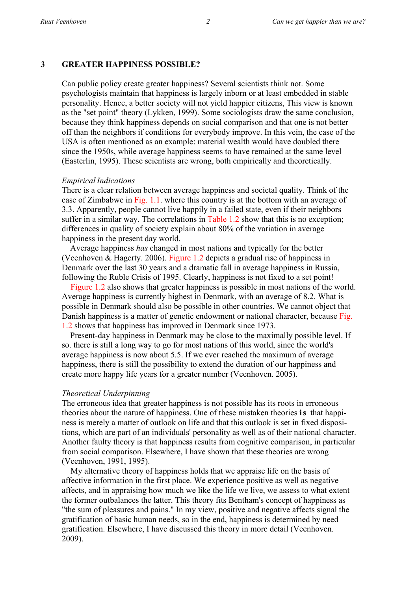# **3 GREATER HAPPINESS POSSIBLE?**

Can public policy create greater happiness? Several scientists think not. Some psychologists maintain that happiness is largely inborn or at least embedded in stable personality. Hence, a better society will not yield happier citizens, This view is known as the "set point" theory (Lykken, 1999). Some sociologists draw the same conclusion, because they think happiness depends on social comparison and that one is not better off than the neighbors if conditions for everybody improve. In this vein, the case of the USA is often mentioned as an example: material wealth would have doubled there since the 1950s, while average happiness seems to have remained at the same level (Easterlin, 1995). These scientists are wrong, both empirically and theoretically.

### *Empirical Indications*

There is a clear relation between average happiness and societal quality. Think of the case of Zimbabwe i[n Fig. 1.1.](#page-9-0) where this country is at the bottom with an average of 3.3. Apparently, people cannot live happily in a failed state, even if their neighbors suffer in a similar way. The correlations in [Table 1.2](#page-12-0) show that this is no exception; differences in quality of society explain about 80% of the variation in average happiness in the present day world.

Average happiness *has* changed in most nations and typically for the better (Veenhoven & Hagerty. 2006). Figure 1.2 depicts a gradual rise of happiness in Denmark over the last 30 years and a dramatic fall in average happiness in Russia, following the Ruble Crisis of 1995. Clearly, happiness is not fixed to a set point!

Figure 1.2 also shows that greater happiness is possible in most nations of the world. Average happiness is currently highest in Denmark, with an average of 8.2. What is possible in Denmark should also be possible in other countries. We cannot object that Danish happiness is a matter of genetic endowment or national character, because Fig. 1.2 shows that happiness has improved in Denmark since 1973.

Present-day happiness in Denmark may be close to the maximally possible level. If so. there is still a long way to go for most nations of this world, since the world's average happiness is now about 5.5. If we ever reached the maximum of average happiness, there is still the possibility to extend the duration of our happiness and create more happy life years for a greater number (Veenhoven. 2005).

### *Theoretical Underpinning*

The erroneous idea that greater happiness is not possible has its roots in erroneous theories about the nature of happiness. One of these mistaken theories **is** that happiness is merely a matter of outlook on life and that this outlook is set in fixed dispositions, which are part of an individuals' personality as well as of their national character. Another faulty theory is that happiness results from cognitive comparison, in particular from social comparison. Elsewhere, I have shown that these theories are wrong (Veenhoven, 1991, 1995).

My alternative theory of happiness holds that we appraise life on the basis of affective information in the first place. We experience positive as well as negative affects, and in appraising how much we like the life we live, we assess to what extent the former outbalances the latter. This theory fits Bentham's concept of happiness as "the sum of pleasures and pains." In my view, positive and negative affects signal the gratification of basic human needs, so in the end, happiness is determined by need gratification. Elsewhere, I have discussed this theory in more detail (Veenhoven. 2009).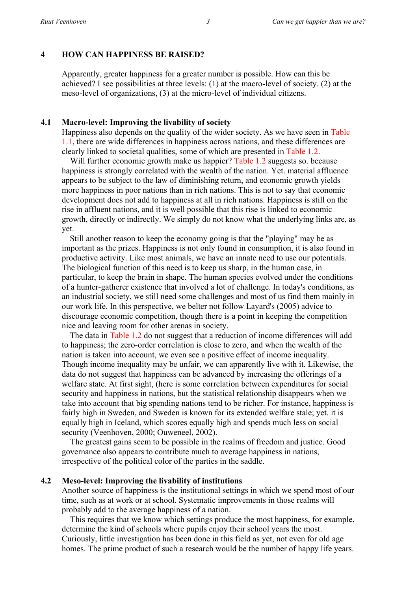# **4 HOW CAN HAPPINESS BE RAISED?**

Apparently, greater happiness for a greater number is possible. How can this be achieved? I see possibilities at three levels: (1) at the macro-level of society. (2) at the meso-level of organizations, (3) at the micro-level of individual citizens.

# **4.1 Macro-level: Improving the livability of society**

Happiness also depends on the quality of the wider society. As we have seen in [Table](#page-10-0)  [1.1,](#page-10-0) there are wide differences in happiness across nations, and these differences are clearly linked to societal qualities, some of which are presented in [Table 1.2.](#page-12-0) 

Will further economic growth make us happier[? Table 1.2 s](#page-12-0)uggests so, because happiness is strongly correlated with the wealth of the nation. Yet. material affluence appears to be subject to the law of diminishing return, and economic growth yields more happiness in poor nations than in rich nations. This is not to say that economic development does not add to happiness at all in rich nations. Happiness is still on the rise in affluent nations, and it is well possible that this rise is linked to economic growth, directly or indirectly. We simply do not know what the underlying links are, as yet.

Still another reason to keep the economy going is that the "playing" may be as important as the prizes. Happiness is not only found in consumption, it is also found in productive activity. Like most animals, we have an innate need to use our potentials. The biological function of this need is to keep us sharp, in the human case, in particular, to keep the brain in shape. The human species evolved under the conditions of a hunter-gatherer existence that involved a lot of challenge. In today's conditions, as an industrial society, we still need some challenges and most of us find them mainly in our work life. In this perspective, we belter not follow Layard's (2005) advice to discourage economic competition, though there is a point in keeping the competition nice and leaving room for other arenas in society.

The data in [Table 1.2](#page-12-0) do not suggest that a reduction of income differences will add to happiness; the zero-order correlation is close to zero, and when the wealth of the nation is taken into account, we even see a positive effect of income inequality. Though income inequality may be unfair, we can apparently live with it. Likewise, the data do not suggest that happiness can be advanced by increasing the offerings of a welfare state. At first sight, (here is some correlation between expenditures for social security and happiness in nations, but the statistical relationship disappears when we take into account that big spending nations tend to be richer. For instance, happiness is fairly high in Sweden, and Sweden is known for its extended welfare stale; yet. it is equally high in Iceland, which scores equally high and spends much less on social security (Veenhoven, 2000; Ouweneel, 2002).

The greatest gains seem to be possible in the realms of freedom and justice. Good governance also appears to contribute much to average happiness in nations, irrespective of the political color of the parties in the saddle.

# **4.2 Meso-level: Improving the livability of institutions**

Another source of happiness is the institutional settings in which we spend most of our time, such as at work or at school. Systematic improvements in those realms will probably add to the average happiness of a nation.

This requires that we know which settings produce the most happiness, for example, determine the kind of schools where pupils enjoy their school years the most. Curiously, little investigation has been done in this field as yet, not even for old age homes. The prime product of such a research would be the number of happy life years.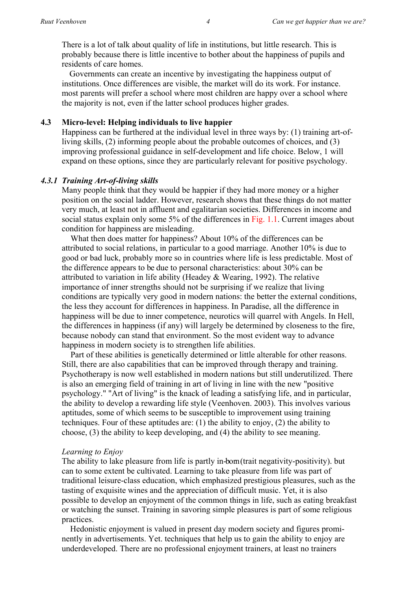There is a lot of talk about quality of life in institutions, but little research. This is probably because there is little incentive to bother about the happiness of pupils and residents of care homes.

Governments can create an incentive by investigating the happiness output of institutions. Once differences are visible, the market will do its work. For instance. most parents will prefer a school where most children are happy over a school where the majority is not, even if the latter school produces higher grades.

### **4.3 Micro-level: Helping individuals to live happier**

Happiness can be furthered at the individual level in three ways by: (1) training art-ofliving skills, (2) informing people about the probable outcomes of choices, and (3) improving professional guidance in self-development and life choice. Below, 1 will expand on these options, since they are particularly relevant for positive psychology.

### *4.3.1 Training Art-of-living skills*

Many people think that they would be happier if they had more money or a higher position on the social ladder. However, research shows that these things do not matter very much, at least not in affluent and egalitarian societies. Differences in income and social status explain only some 5% of the differences i[n Fig. 1.1. C](#page-9-0)urrent images about condition for happiness are misleading.

What then does matter for happiness? About 10% of the differences can be attributed to social relations, in particular to a good marriage. Another 10% is due to good or bad luck, probably more so in countries where life is less predictable. Most of the difference appears to be due to personal characteristics: about 30% can be attributed to variation in life ability (Headey & Wearing, 1992). The relative importance of inner strengths should not be surprising if we realize that living conditions are typically very good in modern nations: the better the external conditions, the less they account for differences in happiness. In Paradise, all the difference in happiness will be due to inner competence, neurotics will quarrel with Angels. In Hell, the differences in happiness (if any) will largely be determined by closeness to the fire, because nobody can stand that environment. So the most evident way to advance happiness in modern society is to strengthen life abilities.

Part of these abilities is genetically determined or little alterable for other reasons. Still, there are also capabilities that can be improved through therapy and training. Psychotherapy is now well established in modern nations but still underutilized. There is also an emerging field of training in art of living in line with the new "positive psychology." "Art of living" is the knack of leading a satisfying life, and in particular, the ability to develop a rewarding life style (Veenhoven. 2003). This involves various aptitudes, some of which seems to be susceptible to improvement using training techniques. Four of these aptitudes are: (1) the ability to enjoy, (2) the ability to choose, (3) the ability to keep developing, and (4) the ability to see meaning.

### *Learning to Enjoy*

The ability to lake pleasure from life is partly in-bom (trait negativity-positivity). but can to some extent be cultivated. Learning to take pleasure from life was part of traditional leisure-class education, which emphasized prestigious pleasures, such as the tasting of exquisite wines and the appreciation of difficult music. Yet, it is also possible to develop an enjoyment of the common things in life, such as eating breakfast or watching the sunset. Training in savoring simple pleasures is part of some religious practices.

Hedonistic enjoyment is valued in present day modern society and figures prominently in advertisements. Yet. techniques that help us to gain the ability to enjoy are underdeveloped. There are no professional enjoyment trainers, at least no trainers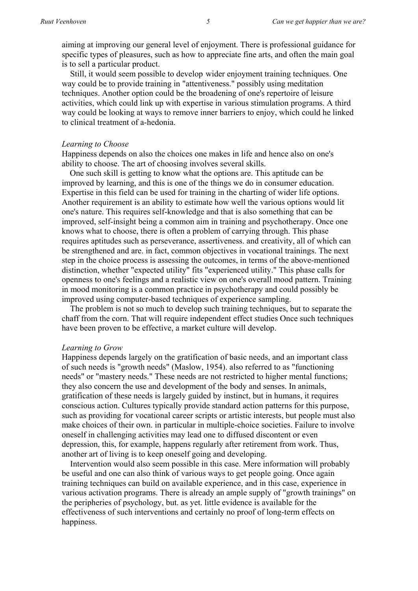aiming at improving our general level of enjoyment. There is professional guidance for specific types of pleasures, such as how to appreciate fine arts, and often the main goal is to sell a particular product.

Still, it would seem possible to develop wider enjoyment training techniques. One way could be to provide training in "attentiveness." possibly using meditation techniques. Another option could be the broadening of one's repertoire of leisure activities, which could link up with expertise in various stimulation programs. A third way could be looking at ways to remove inner barriers to enjoy, which could he linked to clinical treatment of a-hedonia.

#### *Learning to Choose*

Happiness depends on also the choices one makes in life and hence also on one's ability to choose. The art of choosing involves several skills.

One such skill is getting to know what the options are. This aptitude can be improved by learning, and this is one of the things we do in consumer education. Expertise in this field can be used for training in the charting of wider life options. Another requirement is an ability to estimate how well the various options would lit one's nature. This requires self-knowledge and that is also something that can be improved, self-insight being a common aim in training and psychotherapy. Once one knows what to choose, there is often a problem of carrying through. This phase requires aptitudes such as perseverance, assertiveness. and creativity, all of which can be strengthened and are. in fact, common objectives in vocational trainings. The next step in the choice process is assessing the outcomes, in terms of the above-mentioned distinction, whether "expected utility" fits "experienced utility." This phase calls for openness to one's feelings and a realistic view on one's overall mood pattern. Training in mood monitoring is a common practice in psychotherapy and could possibly be improved using computer-based techniques of experience sampling.

The problem is not so much to develop such training techniques, but to separate the chaff from the corn. That will require independent effect studies Once such techniques have been proven to be effective, a market culture will develop.

#### *Learning to Grow*

Happiness depends largely on the gratification of basic needs, and an important class of such needs is "growth needs" (Maslow, 1954). also referred to as "functioning needs" or "mastery needs." These needs are not restricted to higher mental functions; they also concern the use and development of the body and senses. In animals, gratification of these needs is largely guided by instinct, but in humans, it requires conscious action. Cultures typically provide standard action patterns for this purpose, such as providing for vocational career scripts or artistic interests, but people must also make choices of their own. in particular in multiple-choice societies. Failure to involve oneself in challenging activities may lead one to diffused discontent or even depression, this, for example, happens regularly after retirement from work. Thus, another art of living is to keep oneself going and developing.

Intervention would also seem possible in this case. Mere information will probably be useful and one can also think of various ways to get people going. Once again training techniques can build on available experience, and in this case, experience in various activation programs. There is already an ample supply of "growth trainings" on the peripheries of psychology, but. as yet. little evidence is available for the effectiveness of such interventions and certainly no proof of long-term effects on happiness.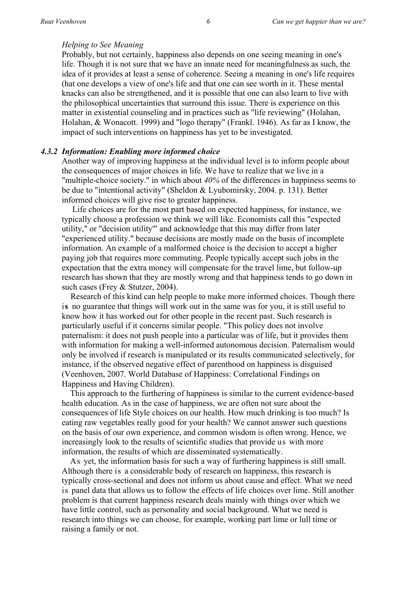#### *Helping to See Meaning*

Probably, but not certainly, happiness also depends on one seeing meaning in one's life. Though it is not sure that we have an innate need for meaningfulness as such, the idea of it provides at least a sense of coherence. Seeing a meaning in one's life requires (hat one develops a view of one's life and that one can see worth in it. These mental knacks can also be strengthened, and it is possible that one can also learn to live with the philosophical uncertainties that surround this issue. There is experience on this matter in existential counseling and in practices such as "life reviewing" (Holahan, Holahan, & Wonacott. 1999) and "logo therapy" (Frankl. 1946). As far as I know, the impact of such interventions on happiness has yet to be investigated.

#### *4.3.2 Information: Enabling more informed choice*

Another way of improving happiness at the individual level is to inform people about the consequences of major choices in life. We have to realize that we live in a "multiple-choice society." in which about *40%* of the differences in happiness seems to be due to "intentional activity" (Sheldon & Lyubomirsky, 2004. p. 131). Better informed choices will give rise to greater happiness.

 Life choices are for the most part based on expected happiness, for instance, we typically choose a profession we think we will like. Economists call this "expected utility," or "decision utility'" and acknowledge that this may differ from later "experienced utility." because decisions are mostly made on the basis of incomplete information. An example of a malformed choice is the decision to accept a higher paying job that requires more commuting. People typically accept such jobs in the expectation that the extra money will compensate for the travel lime, but follow-up research has shown that they are mostly wrong and that happiness tends to go down in such cases (Frey & Stutzer, 2004).

Research of this kind can help people to make more informed choices. Though there i**s** no guarantee that things will work out in the same was for you, it is still useful to know how it has worked out for other people in the recent past. Such research is particularly useful if it concerns similar people. "This policy does not involve paternalism: it does not push people into a particular was of life, but it provides them with information for making a well-informed autonomous decision. Paternalism would only be involved if research is manipulated or its results communicated selectively, for instance, if the observed negative effect of parenthood on happiness is disguised (Veenhoven, 2007. World Database of Happiness: Correlational Findings on Happiness and Having Children).

This approach to the furthering of happiness is similar to the current evidence-based health education. As in the case of happiness, we are often not sure about the consequences of life Style choices on our health. How much drinking is too much? Is eating raw vegetables really good for your health? We cannot answer such questions on the basis of our own experience, and common wisdom is often wrong. Hence, we increasingly look to the results of scientific studies that provide us with more information, the results of which are disseminated systematically.

As yet, the information basis for such a way of furthering happiness is still small. Although there is a considerable body of research on happiness, this research is typically cross-sectional and does not inform us about cause and effect. What we need is panel data that allows us to follow the effects of life choices over lime. Still another problem is that current happiness research deals mainly with things over which we have little control, such as personality and social background. What we need is research into things we can choose, for example, working part lime or lull time or raising a family or not.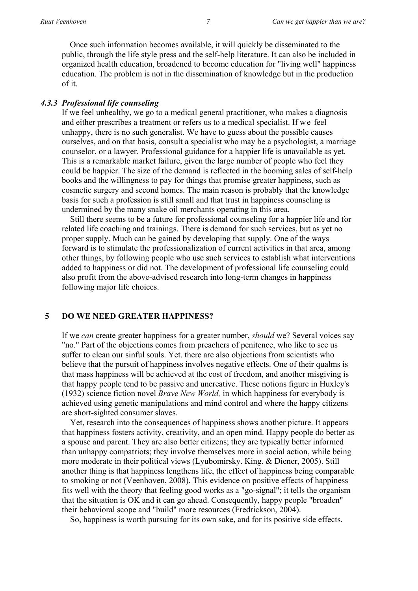Once such information becomes available, it will quickly be disseminated to the public, through the life style press and the self-help literature. It can also be included in organized health education, broadened to become education for "living well" happiness education. The problem is not in the dissemination of knowledge but in the production of it.

#### *4.3.3 Professional life counseling*

If we feel unhealthy, we go to a medical general practitioner, who makes a diagnosis and either prescribes a treatment or refers us to a medical specialist. If we feel unhappy, there is no such generalist. We have to guess about the possible causes ourselves, and on that basis, consult a specialist who may be a psychologist, a marriage counselor, or a lawyer. Professional guidance for a happier life is unavailable as yet. This is a remarkable market failure, given the large number of people who feel they could be happier. The size of the demand is reflected in the booming sales of self-help books and the willingness to pay for things that promise greater happiness, such as cosmetic surgery and second homes. The main reason is probably that the knowledge basis for such a profession is still small and that trust in happiness counseling is undermined by the many snake oil merchants operating in this area.

Still there seems to be a future for professional counseling for a happier life and for related life coaching and trainings. There is demand for such services, but as yet no proper supply. Much can be gained by developing that supply. One of the ways forward is to stimulate the professionalization of current activities in that area, among other things, by following people who use such services to establish what interventions added to happiness or did not. The development of professional life counseling could also profit from the above-advised research into long-term changes in happiness following major life choices.

#### **5 DO WE NEED GREATER HAPPINESS?**

If we *can* create greater happiness for a greater number, *should* we? Several voices say "no." Part of the objections comes from preachers of penitence, who like to see us suffer to clean our sinful souls. Yet. there are also objections from scientists who believe that the pursuit of happiness involves negative effects. One of their qualms is that mass happiness will be achieved at the cost of freedom, and another misgiving is that happy people tend to be passive and uncreative. These notions figure in Huxley's (1932) science fiction novel *Brave New World,* in which happiness for everybody is achieved using genetic manipulations and mind control and where the happy citizens are short-sighted consumer slaves.

Yet, research into the consequences of happiness shows another picture. It appears that happiness fosters activity, creativity, and an open mind. Happy people do better as a spouse and parent. They are also better citizens; they are typically better informed than unhappy compatriots; they involve themselves more in social action, while being more moderate in their political views (Lyubomirsky. King. & Diener, 2005). Still another thing is that happiness lengthens life, the effect of happiness being comparable to smoking or not (Veenhoven, 2008). This evidence on positive effects of happiness fits well with the theory that feeling good works as a "go-signal"; it tells the organism that the situation is OK and it can go ahead. Consequently, happy people "broaden" their behavioral scope and "build" more resources (Fredrickson, 2004).

So, happiness is worth pursuing for its own sake, and for its positive side effects.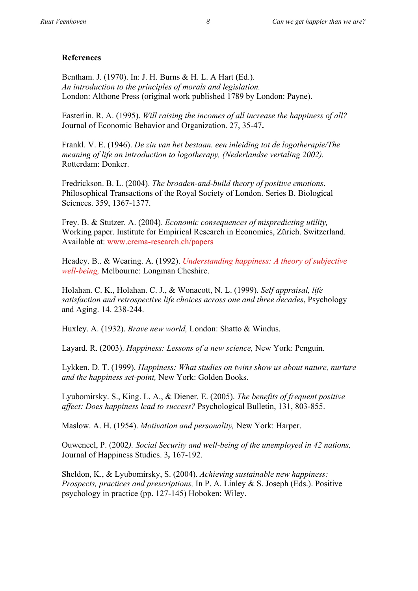# <span id="page-7-0"></span>**References**

Bentham. J. (1970). In: J. H. Burns & H. L. A Hart (Ed.). *An introduction to the principles of morals and legislation.*  London: Althone Press (original work published 1789 by London: Payne).

Easterlin. R. A. (1995). *Will raising the incomes of all increase the happiness of all?* Journal of Economic Behavior and Organization. 27, 35-47**.**

Frankl. V. E. (1946). *De zin van het bestaan. een inleiding tot de logotherapie/The meaning of life an introduction to logotherapy, (Nederlandse vertaling 2002).*  Rotterdam: Donker.

Fredrickson. B. L. (2004). *The broaden-and-build theory of positive emotions*. Philosophical Transactions of the Royal Society of London. Series B. Biological Sciences. 359, 1367-1377.

Frey. B. & Stutzer. A. (2004). *Economic consequences of mispredicting utility,*  Working paper. Institute for Empirical Research in Economics, Zürich. Switzerland. Available at[: www.crema-research.ch/papers](http://www.crema-research.ch/papers)

Headey. B.. & Wearing. A. (1992). *[Understanding happiness: A theory of subjective](http://worlddatabaseofhappiness.eur.nl/hap_bib/freetexts/headey.b.1992.pdf)  well-being,* Melbourne: Longman Cheshire.

Holahan. C. K., Holahan. C. J., & Wonacott, N. L. (1999). *Self appraisal, life satisfaction and retrospective life choices across one and three decades*, Psychology and Aging. 14. 238-244.

Huxley. A. (1932). *Brave new world,* London: Shatto & Windus.

Layard. R. (2003). *Happiness: Lessons of a new science,* New York: Penguin.

Lykken. D. T. (1999). *Happiness: What studies on twins show us about nature, nurture and the happiness set-point,* New York: Golden Books.

Lyubomirsky. S., King. L. A., & Diener. E. (2005). *The benefits of frequent positive affect: Does happiness lead to success?* Psychological Bulletin, 131, 803-855.

Maslow. A. H. (1954). *Motivation and personality,* New York: Harper.

Ouweneel, P. (2002*). Social Security and well-being of the unemployed in 42 nations,* Journal of Happiness Studies. 3*,* 167-192.

Sheldon, K., & Lyubomirsky, S. (2004). *Achieving sustainable new happiness: Prospects, practices and prescriptions,* In P. A. Linley & S. Joseph (Eds.). Positive psychology in practice (pp. 127-145) Hoboken: Wiley.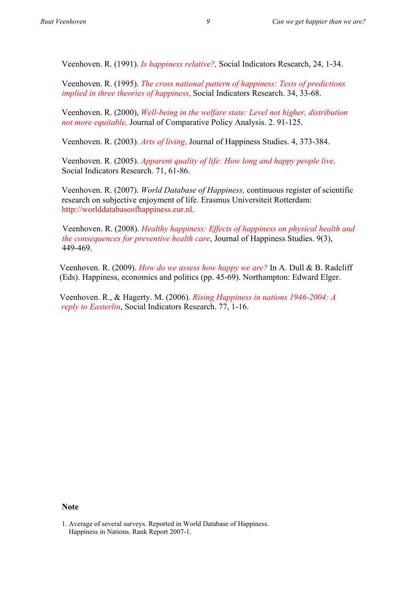Veenhoven. R. (1991). *[Is happiness relative?,](http://www2.eur.nl/fsw/research/veenhoven/Pub1990s/91a-full.pdf)* Social Indicators Research, 24, 1-34.

Veenhoven. R. (1995). *[The cross national pattern of happiness: Tests of predictions](http://www2.eur.nl/fsw/research/veenhoven/Pub1990s/95b-full.pdf)  implied in three theories of happiness*, Social Indicators Research. 34, 33-68.

Veenhoven. R. (2000), *[Well-being in the welfare state: Level not higher, distribution](http://www2.eur.nl/fsw/research/veenhoven/Pub2000s/2000b-full.pdf)  not more equitable,* Journal of Comparative Policy Analysis. 2. 91-125.

Veenhoven. R. (2003). *[Arts of living](http://www2.eur.nl/fsw/research/veenhoven/Pub2000s/2003b-full.pdf)*, Journal of Happiness Studies. 4, 373-384.

Veenhoven. R. (2005). *[Apparent quality of life: How long and happy people live,](http://www2.eur.nl/fsw/research/veenhoven/Pub2000s/2005j-full.pdf)* Social Indicators Research. 71, 61-86.

Veenhoven. R. (2007). *World Database of Happiness,* continuous register of scientific research on subjective enjoyment of life. Erasmus Universiteit Rotterdam: [http://worlddatabaseofhappiness.eur.nl.](http://worlddatabaseofhappiness.eur.nl)

 Veenhoven. R. (2008). *[Healthy happiness: Effects of happiness on physical health and](http://www2.eur.nl/fsw/research/veenhoven/Pub2000s/2008d-full.pdf)  the consequences for preventive health care*, Journal of Happiness Studies. 9(3), 449-469.

 Veenhoven. R. (2009). *[How do we assess how happy we are?](http://www2.eur.nl/fsw/research/veenhoven/Pub2000s/2009a-full.pdf)* In A. Dull & B. Radcliff (Eds). Happiness, economics and politics (pp. 45-69). Northampton: Edward Elger.

 Veenhoven. R., & Hagerty. M. (2006). *[Rising Happiness in nations 1946-2004: A](http://www2.eur.nl/fsw/research/veenhoven/Pub2000s/2006a-full.pdf)  reply to Easterlin*, Social Indicators Research. 77, 1-16.

 **Note**

 <sup>1.</sup> Average of several surveys. Reported in World Database of Happiness. Happiness in Nations. Rank Report 2007-1.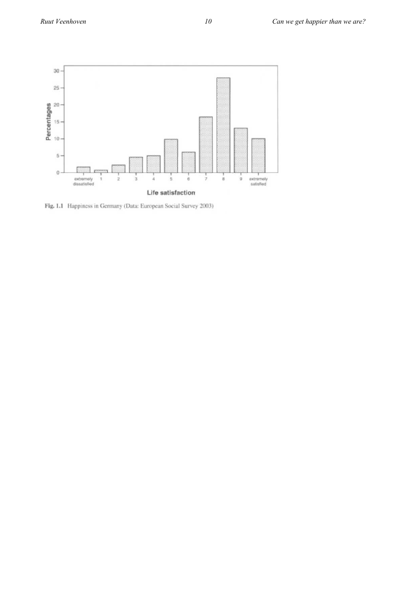<span id="page-9-0"></span>

Fig. 1.1 Happiness in Germany (Data: European Social Survey 2003)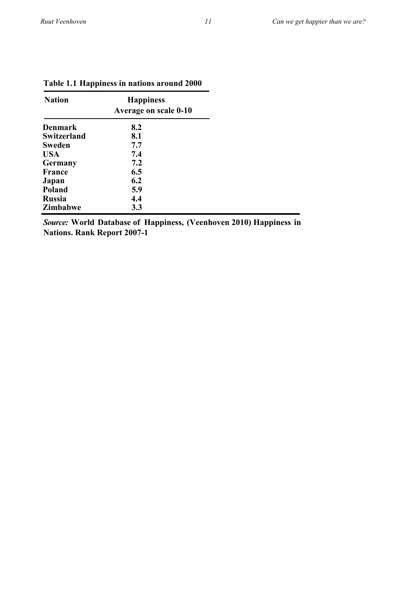| <b>Nation</b>   | <b>Happiness</b><br><b>Average on scale 0-10</b> |
|-----------------|--------------------------------------------------|
| <b>Denmark</b>  | 8.2                                              |
| Switzerland     | 8.1                                              |
| <b>Sweden</b>   | 7.7                                              |
| <b>USA</b>      | 7.4                                              |
| Germany         | 7.2                                              |
| France          | 6.5                                              |
| Japan           | 6.2                                              |
| Poland          | 5.9                                              |
| <b>Russia</b>   | 4.4                                              |
| <b>Zimbabwe</b> | 3.3                                              |

# <span id="page-10-0"></span>**Table 1.1 Happiness in nations around 2000**

*Source:* **World Database of Happiness, (Veenhoven 2010) Happiness in Nations. Rank Report 2007-1**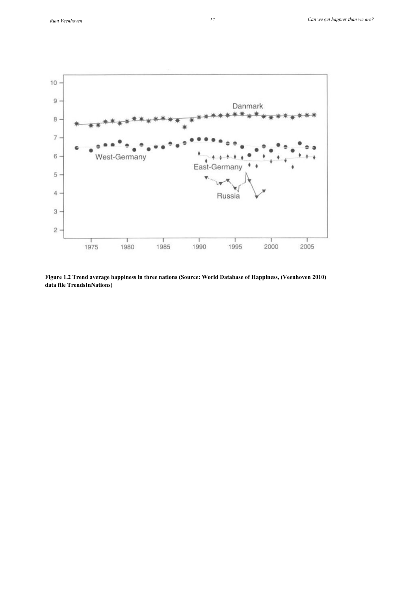

**Figure 1.2 Trend average happiness in three nations (Source: World Database of Happiness, (Veenhoven 2010) data file TrendsInNations)**